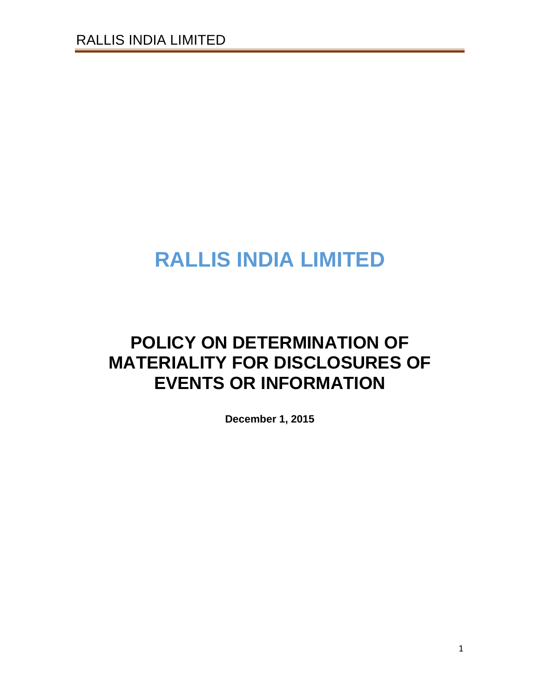# **RALLIS INDIA LIMITED**

# **POLICY ON DETERMINATION OF MATERIALITY FOR DISCLOSURES OF EVENTS OR INFORMATION**

**December 1, 2015**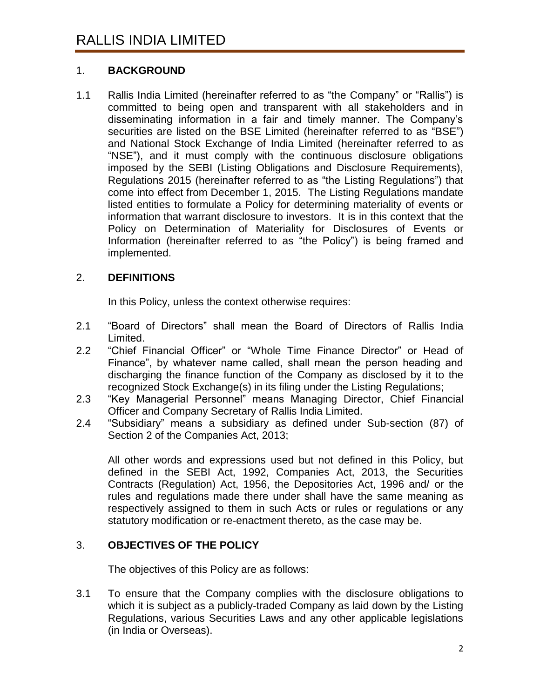# 1. **BACKGROUND**

1.1 Rallis India Limited (hereinafter referred to as "the Company" or "Rallis") is committed to being open and transparent with all stakeholders and in disseminating information in a fair and timely manner. The Company"s securities are listed on the BSE Limited (hereinafter referred to as "BSE") and National Stock Exchange of India Limited (hereinafter referred to as "NSE"), and it must comply with the continuous disclosure obligations imposed by the SEBI (Listing Obligations and Disclosure Requirements), Regulations 2015 (hereinafter referred to as "the Listing Regulations") that come into effect from December 1, 2015. The Listing Regulations mandate listed entities to formulate a Policy for determining materiality of events or information that warrant disclosure to investors. It is in this context that the Policy on Determination of Materiality for Disclosures of Events or Information (hereinafter referred to as "the Policy") is being framed and implemented.

# 2. **DEFINITIONS**

In this Policy, unless the context otherwise requires:

- 2.1 "Board of Directors" shall mean the Board of Directors of Rallis India Limited.
- 2.2 "Chief Financial Officer" or "Whole Time Finance Director" or Head of Finance", by whatever name called, shall mean the person heading and discharging the finance function of the Company as disclosed by it to the recognized Stock Exchange(s) in its filing under the Listing Regulations;
- 2.3 "Key Managerial Personnel" means Managing Director, Chief Financial Officer and Company Secretary of Rallis India Limited.
- 2.4 "Subsidiary" means a subsidiary as defined under Sub-section (87) of Section 2 of the Companies Act, 2013;

All other words and expressions used but not defined in this Policy, but defined in the SEBI Act, 1992, Companies Act, 2013, the Securities Contracts (Regulation) Act, 1956, the Depositories Act, 1996 and/ or the rules and regulations made there under shall have the same meaning as respectively assigned to them in such Acts or rules or regulations or any statutory modification or re-enactment thereto, as the case may be.

# 3. **OBJECTIVES OF THE POLICY**

The objectives of this Policy are as follows:

3.1 To ensure that the Company complies with the disclosure obligations to which it is subject as a publicly-traded Company as laid down by the Listing Regulations, various Securities Laws and any other applicable legislations (in India or Overseas).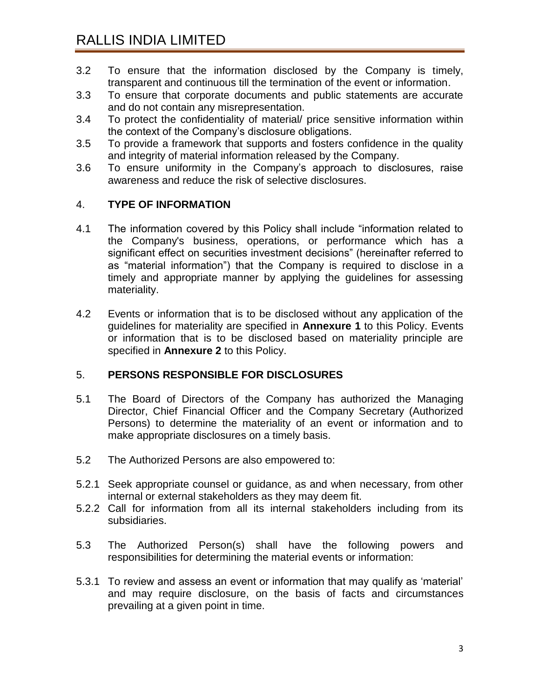- 3.2 To ensure that the information disclosed by the Company is timely, transparent and continuous till the termination of the event or information.
- 3.3 To ensure that corporate documents and public statements are accurate and do not contain any misrepresentation.
- 3.4 To protect the confidentiality of material/ price sensitive information within the context of the Company"s disclosure obligations.
- 3.5 To provide a framework that supports and fosters confidence in the quality and integrity of material information released by the Company.
- 3.6 To ensure uniformity in the Company"s approach to disclosures, raise awareness and reduce the risk of selective disclosures.

# 4. **TYPE OF INFORMATION**

- 4.1 The information covered by this Policy shall include "information related to the Company's business, operations, or performance which has a significant effect on securities investment decisions" (hereinafter referred to as "material information") that the Company is required to disclose in a timely and appropriate manner by applying the guidelines for assessing materiality.
- 4.2 Events or information that is to be disclosed without any application of the guidelines for materiality are specified in **Annexure 1** to this Policy. Events or information that is to be disclosed based on materiality principle are specified in **Annexure 2** to this Policy.

# 5. **PERSONS RESPONSIBLE FOR DISCLOSURES**

- 5.1 The Board of Directors of the Company has authorized the Managing Director, Chief Financial Officer and the Company Secretary (Authorized Persons) to determine the materiality of an event or information and to make appropriate disclosures on a timely basis.
- 5.2 The Authorized Persons are also empowered to:
- 5.2.1 Seek appropriate counsel or guidance, as and when necessary, from other internal or external stakeholders as they may deem fit.
- 5.2.2 Call for information from all its internal stakeholders including from its subsidiaries.
- 5.3 The Authorized Person(s) shall have the following powers and responsibilities for determining the material events or information:
- 5.3.1 To review and assess an event or information that may qualify as "material" and may require disclosure, on the basis of facts and circumstances prevailing at a given point in time.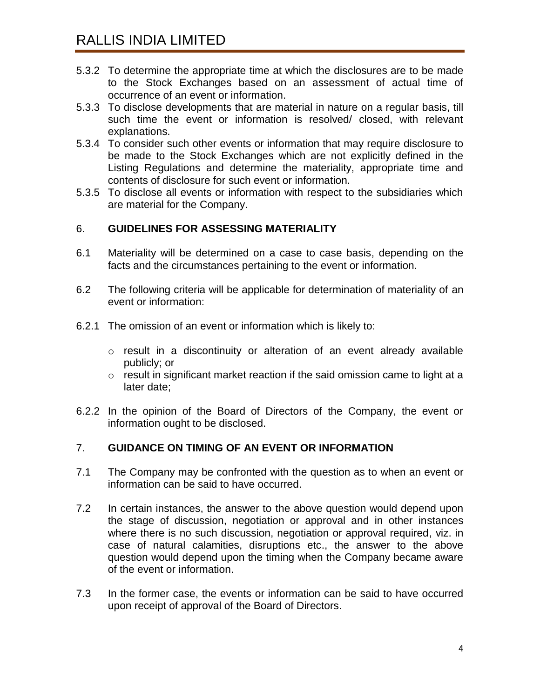- 5.3.2 To determine the appropriate time at which the disclosures are to be made to the Stock Exchanges based on an assessment of actual time of occurrence of an event or information.
- 5.3.3 To disclose developments that are material in nature on a regular basis, till such time the event or information is resolved/ closed, with relevant explanations.
- 5.3.4 To consider such other events or information that may require disclosure to be made to the Stock Exchanges which are not explicitly defined in the Listing Regulations and determine the materiality, appropriate time and contents of disclosure for such event or information.
- 5.3.5 To disclose all events or information with respect to the subsidiaries which are material for the Company.

# 6. **GUIDELINES FOR ASSESSING MATERIALITY**

- 6.1 Materiality will be determined on a case to case basis, depending on the facts and the circumstances pertaining to the event or information.
- 6.2 The following criteria will be applicable for determination of materiality of an event or information:
- 6.2.1 The omission of an event or information which is likely to:
	- o result in a discontinuity or alteration of an event already available publicly; or
	- o result in significant market reaction if the said omission came to light at a later date;
- 6.2.2 In the opinion of the Board of Directors of the Company, the event or information ought to be disclosed.

#### 7. **GUIDANCE ON TIMING OF AN EVENT OR INFORMATION**

- 7.1 The Company may be confronted with the question as to when an event or information can be said to have occurred.
- 7.2 In certain instances, the answer to the above question would depend upon the stage of discussion, negotiation or approval and in other instances where there is no such discussion, negotiation or approval required, viz. in case of natural calamities, disruptions etc., the answer to the above question would depend upon the timing when the Company became aware of the event or information.
- 7.3 In the former case, the events or information can be said to have occurred upon receipt of approval of the Board of Directors.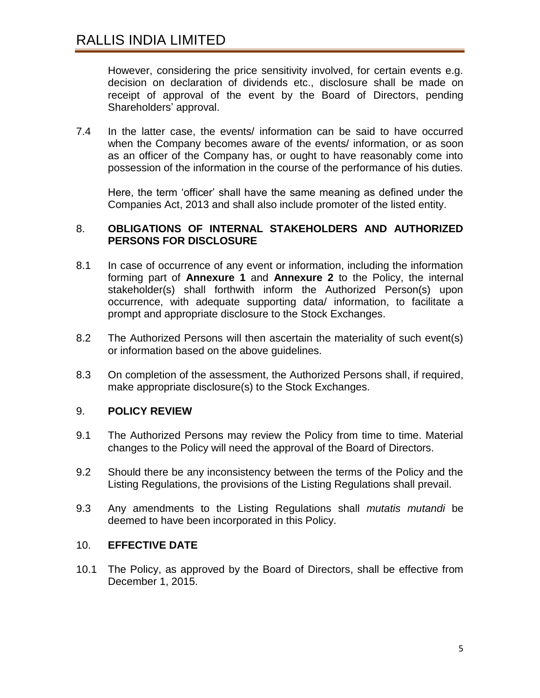However, considering the price sensitivity involved, for certain events e.g. decision on declaration of dividends etc., disclosure shall be made on receipt of approval of the event by the Board of Directors, pending Shareholders" approval.

7.4 In the latter case, the events/ information can be said to have occurred when the Company becomes aware of the events/ information, or as soon as an officer of the Company has, or ought to have reasonably come into possession of the information in the course of the performance of his duties.

Here, the term "officer" shall have the same meaning as defined under the Companies Act, 2013 and shall also include promoter of the listed entity.

#### 8. **OBLIGATIONS OF INTERNAL STAKEHOLDERS AND AUTHORIZED PERSONS FOR DISCLOSURE**

- 8.1 In case of occurrence of any event or information, including the information forming part of **Annexure 1** and **Annexure 2** to the Policy, the internal stakeholder(s) shall forthwith inform the Authorized Person(s) upon occurrence, with adequate supporting data/ information, to facilitate a prompt and appropriate disclosure to the Stock Exchanges.
- 8.2 The Authorized Persons will then ascertain the materiality of such event(s) or information based on the above guidelines.
- 8.3 On completion of the assessment, the Authorized Persons shall, if required, make appropriate disclosure(s) to the Stock Exchanges.

#### 9. **POLICY REVIEW**

- 9.1 The Authorized Persons may review the Policy from time to time. Material changes to the Policy will need the approval of the Board of Directors.
- 9.2 Should there be any inconsistency between the terms of the Policy and the Listing Regulations, the provisions of the Listing Regulations shall prevail.
- 9.3 Any amendments to the Listing Regulations shall *mutatis mutandi* be deemed to have been incorporated in this Policy.

#### 10. **EFFECTIVE DATE**

10.1 The Policy, as approved by the Board of Directors, shall be effective from December 1, 2015.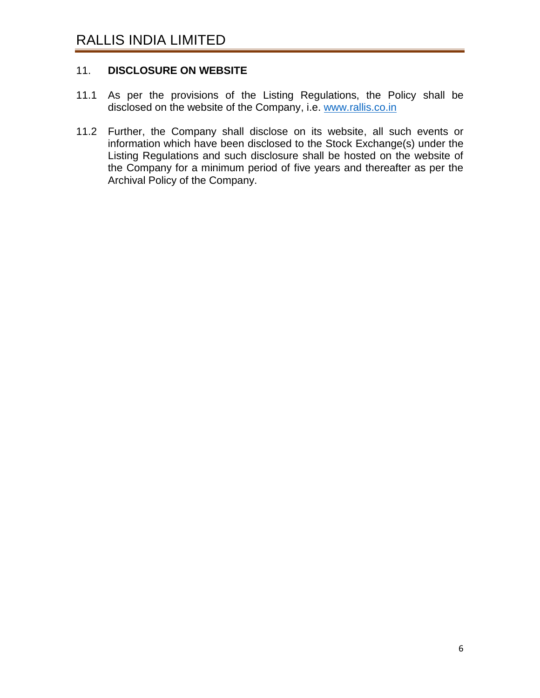# 11. **DISCLOSURE ON WEBSITE**

- 11.1 As per the provisions of the Listing Regulations, the Policy shall be disclosed on the website of the Company, i.e. [www.rallis.co.in](http://www.rallis.co.in/)
- 11.2 Further, the Company shall disclose on its website, all such events or information which have been disclosed to the Stock Exchange(s) under the Listing Regulations and such disclosure shall be hosted on the website of the Company for a minimum period of five years and thereafter as per the Archival Policy of the Company.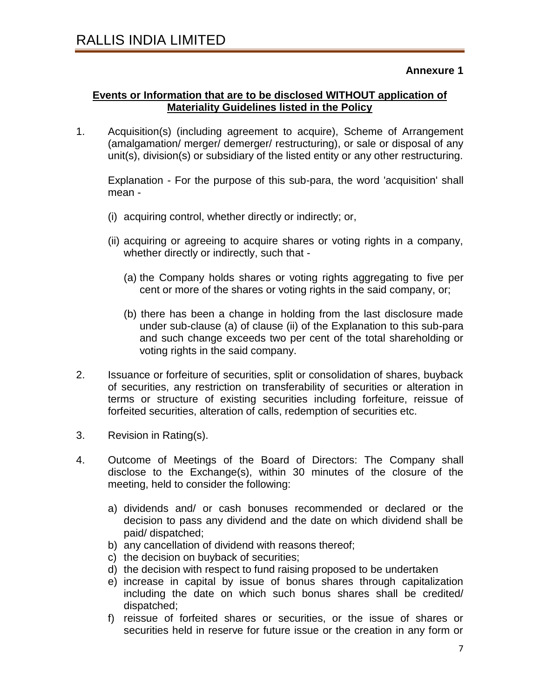#### **Annexure 1**

## **Events or Information that are to be disclosed WITHOUT application of Materiality Guidelines listed in the Policy**

1. Acquisition(s) (including agreement to acquire), Scheme of Arrangement (amalgamation/ merger/ demerger/ restructuring), or sale or disposal of any unit(s), division(s) or subsidiary of the listed entity or any other restructuring.

Explanation - For the purpose of this sub-para, the word 'acquisition' shall mean -

- (i) acquiring control, whether directly or indirectly; or,
- (ii) acquiring or agreeing to acquire shares or voting rights in a company, whether directly or indirectly, such that -
	- (a) the Company holds shares or voting rights aggregating to five per cent or more of the shares or voting rights in the said company, or;
	- (b) there has been a change in holding from the last disclosure made under sub-clause (a) of clause (ii) of the Explanation to this sub-para and such change exceeds two per cent of the total shareholding or voting rights in the said company.
- 2. Issuance or forfeiture of securities, split or consolidation of shares, buyback of securities, any restriction on transferability of securities or alteration in terms or structure of existing securities including forfeiture, reissue of forfeited securities, alteration of calls, redemption of securities etc.
- 3. Revision in Rating(s).
- 4. Outcome of Meetings of the Board of Directors: The Company shall disclose to the Exchange(s), within 30 minutes of the closure of the meeting, held to consider the following:
	- a) dividends and/ or cash bonuses recommended or declared or the decision to pass any dividend and the date on which dividend shall be paid/ dispatched;
	- b) any cancellation of dividend with reasons thereof;
	- c) the decision on buyback of securities;
	- d) the decision with respect to fund raising proposed to be undertaken
	- e) increase in capital by issue of bonus shares through capitalization including the date on which such bonus shares shall be credited/ dispatched;
	- f) reissue of forfeited shares or securities, or the issue of shares or securities held in reserve for future issue or the creation in any form or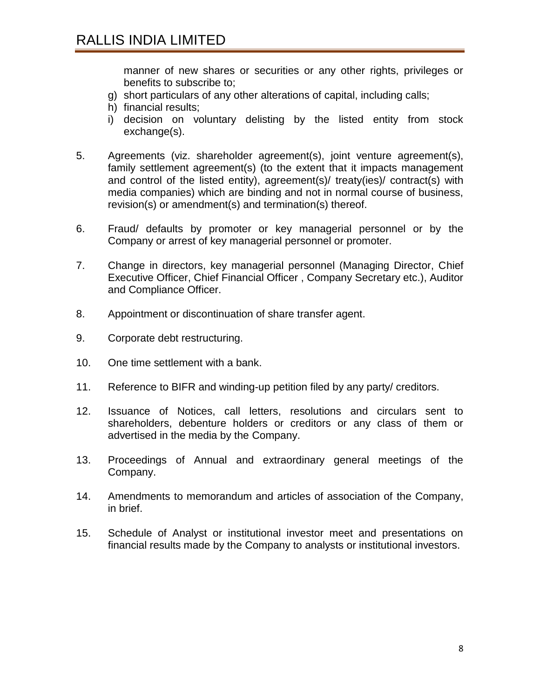manner of new shares or securities or any other rights, privileges or benefits to subscribe to;

- g) short particulars of any other alterations of capital, including calls;
- h) financial results;
- i) decision on voluntary delisting by the listed entity from stock exchange(s).
- 5. Agreements (viz. shareholder agreement(s), joint venture agreement(s), family settlement agreement(s) (to the extent that it impacts management and control of the listed entity), agreement(s)/ treaty(ies)/ contract(s) with media companies) which are binding and not in normal course of business, revision(s) or amendment(s) and termination(s) thereof.
- 6. Fraud/ defaults by promoter or key managerial personnel or by the Company or arrest of key managerial personnel or promoter.
- 7. Change in directors, key managerial personnel (Managing Director, Chief Executive Officer, Chief Financial Officer , Company Secretary etc.), Auditor and Compliance Officer.
- 8. Appointment or discontinuation of share transfer agent.
- 9. Corporate debt restructuring.
- 10. One time settlement with a bank.
- 11. Reference to BIFR and winding-up petition filed by any party/ creditors.
- 12. Issuance of Notices, call letters, resolutions and circulars sent to shareholders, debenture holders or creditors or any class of them or advertised in the media by the Company.
- 13. Proceedings of Annual and extraordinary general meetings of the Company.
- 14. Amendments to memorandum and articles of association of the Company, in brief.
- 15. Schedule of Analyst or institutional investor meet and presentations on financial results made by the Company to analysts or institutional investors.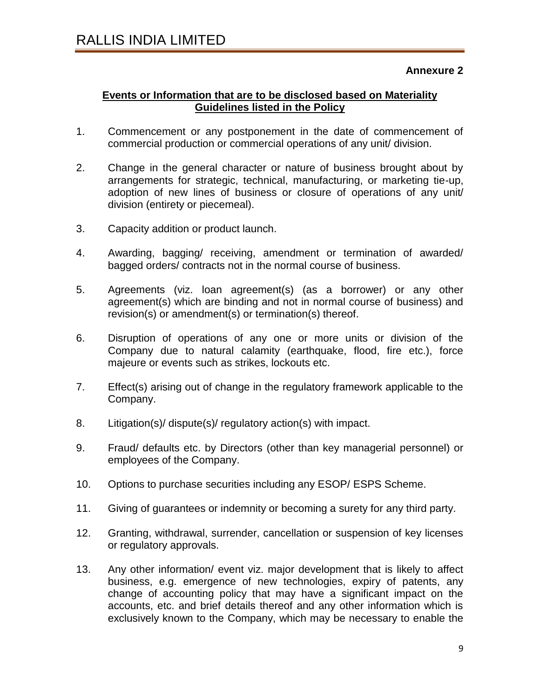## **Events or Information that are to be disclosed based on Materiality Guidelines listed in the Policy**

- 1. Commencement or any postponement in the date of commencement of commercial production or commercial operations of any unit/ division.
- 2. Change in the general character or nature of business brought about by arrangements for strategic, technical, manufacturing, or marketing tie-up, adoption of new lines of business or closure of operations of any unit/ division (entirety or piecemeal).
- 3. Capacity addition or product launch.
- 4. Awarding, bagging/ receiving, amendment or termination of awarded/ bagged orders/ contracts not in the normal course of business.
- 5. Agreements (viz. loan agreement(s) (as a borrower) or any other agreement(s) which are binding and not in normal course of business) and revision(s) or amendment(s) or termination(s) thereof.
- 6. Disruption of operations of any one or more units or division of the Company due to natural calamity (earthquake, flood, fire etc.), force majeure or events such as strikes, lockouts etc.
- 7. Effect(s) arising out of change in the regulatory framework applicable to the Company.
- 8. Litigation(s)/ dispute(s)/ regulatory action(s) with impact.
- 9. Fraud/ defaults etc. by Directors (other than key managerial personnel) or employees of the Company.
- 10. Options to purchase securities including any ESOP/ ESPS Scheme.
- 11. Giving of guarantees or indemnity or becoming a surety for any third party.
- 12. Granting, withdrawal, surrender, cancellation or suspension of key licenses or regulatory approvals.
- 13. Any other information/ event viz. major development that is likely to affect business, e.g. emergence of new technologies, expiry of patents, any change of accounting policy that may have a significant impact on the accounts, etc. and brief details thereof and any other information which is exclusively known to the Company, which may be necessary to enable the